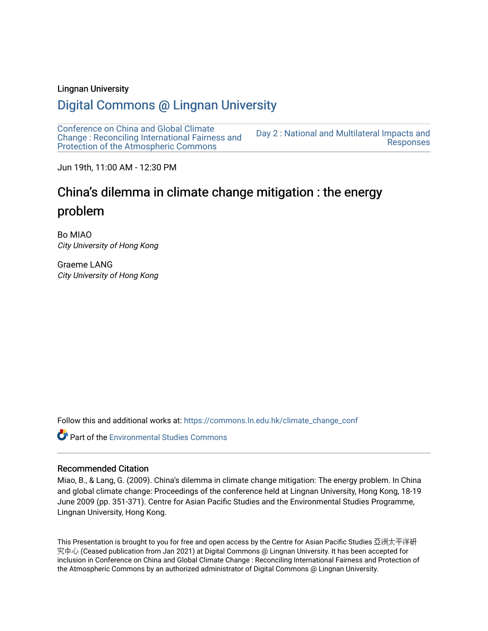## Lingnan University

# [Digital Commons @ Lingnan University](https://commons.ln.edu.hk/)

[Conference on China and Global Climate](https://commons.ln.edu.hk/climate_change_conf)  [Change : Reconciling International Fairness and](https://commons.ln.edu.hk/climate_change_conf)  [Protection of the Atmospheric Commons](https://commons.ln.edu.hk/climate_change_conf) [Day 2 : National and Multilateral Impacts and](https://commons.ln.edu.hk/climate_change_conf/day2)  [Responses](https://commons.ln.edu.hk/climate_change_conf/day2) 

Jun 19th, 11:00 AM - 12:30 PM

# China's dilemma in climate change mitigation : the energy problem

Bo MIAO City University of Hong Kong

Graeme LANG City University of Hong Kong

Follow this and additional works at: [https://commons.ln.edu.hk/climate\\_change\\_conf](https://commons.ln.edu.hk/climate_change_conf?utm_source=commons.ln.edu.hk%2Fclimate_change_conf%2Fday2%2Fs2-1%2F1&utm_medium=PDF&utm_campaign=PDFCoverPages) 

**Part of the [Environmental Studies Commons](https://network.bepress.com/hgg/discipline/1333?utm_source=commons.ln.edu.hk%2Fclimate_change_conf%2Fday2%2Fs2-1%2F1&utm_medium=PDF&utm_campaign=PDFCoverPages)** 

#### Recommended Citation

Miao, B., & Lang, G. (2009). China's dilemma in climate change mitigation: The energy problem. In China and global climate change: Proceedings of the conference held at Lingnan University, Hong Kong, 18-19 June 2009 (pp. 351-371). Centre for Asian Pacific Studies and the Environmental Studies Programme, Lingnan University, Hong Kong.

This Presentation is brought to you for free and open access by the Centre for Asian Pacific Studies 亞洲太平洋研 究中心 (Ceased publication from Jan 2021) at Digital Commons @ Lingnan University. It has been accepted for inclusion in Conference on China and Global Climate Change : Reconciling International Fairness and Protection of the Atmospheric Commons by an authorized administrator of Digital Commons @ Lingnan University.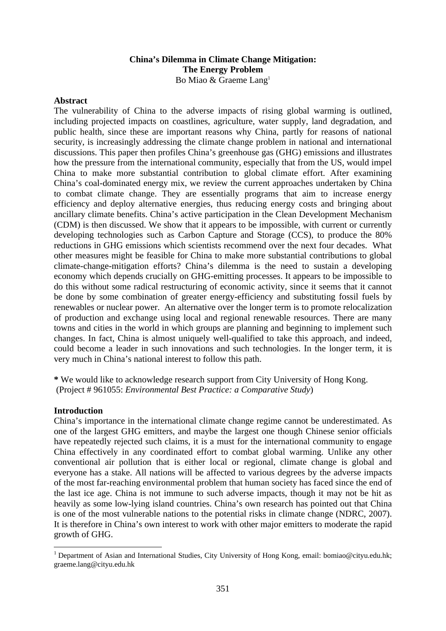## **China's Dilemma in Climate Change Mitigation: The Energy Problem**

Bo Miao & Graeme Lang<sup>1</sup>

## **Abstract**

The vulnerability of China to the adverse impacts of rising global warming is outlined, including projected impacts on coastlines, agriculture, water supply, land degradation, and public health, since these are important reasons why China, partly for reasons of national security, is increasingly addressing the climate change problem in national and international discussions. This paper then profiles China's greenhouse gas (GHG) emissions and illustrates how the pressure from the international community, especially that from the US, would impel China to make more substantial contribution to global climate effort. After examining China's coal-dominated energy mix, we review the current approaches undertaken by China to combat climate change. They are essentially programs that aim to increase energy efficiency and deploy alternative energies, thus reducing energy costs and bringing about ancillary climate benefits. China's active participation in the Clean Development Mechanism (CDM) is then discussed. We show that it appears to be impossible, with current or currently developing technologies such as Carbon Capture and Storage (CCS), to produce the 80% reductions in GHG emissions which scientists recommend over the next four decades. What other measures might be feasible for China to make more substantial contributions to global climate-change-mitigation efforts? China's dilemma is the need to sustain a developing economy which depends crucially on GHG-emitting processes. It appears to be impossible to do this without some radical restructuring of economic activity, since it seems that it cannot be done by some combination of greater energy-efficiency and substituting fossil fuels by renewables or nuclear power. An alternative over the longer term is to promote relocalization of production and exchange using local and regional renewable resources. There are many towns and cities in the world in which groups are planning and beginning to implement such changes. In fact, China is almost uniquely well-qualified to take this approach, and indeed, could become a leader in such innovations and such technologies. In the longer term, it is very much in China's national interest to follow this path.

**\*** We would like to acknowledge research support from City University of Hong Kong. (Project # 961055: *Environmental Best Practice: a Comparative Study*)

## **Introduction**

<u>.</u>

China's importance in the international climate change regime cannot be underestimated. As one of the largest GHG emitters, and maybe the largest one though Chinese senior officials have repeatedly rejected such claims, it is a must for the international community to engage China effectively in any coordinated effort to combat global warming. Unlike any other conventional air pollution that is either local or regional, climate change is global and everyone has a stake. All nations will be affected to various degrees by the adverse impacts of the most far-reaching environmental problem that human society has faced since the end of the last ice age. China is not immune to such adverse impacts, though it may not be hit as heavily as some low-lying island countries. China's own research has pointed out that China is one of the most vulnerable nations to the potential risks in climate change (NDRC, 2007). It is therefore in China's own interest to work with other major emitters to moderate the rapid growth of GHG.

<sup>&</sup>lt;sup>1</sup> Department of Asian and International Studies, City University of Hong Kong, email: bomiao@cityu.edu.hk; graeme.lang@cityu.edu.hk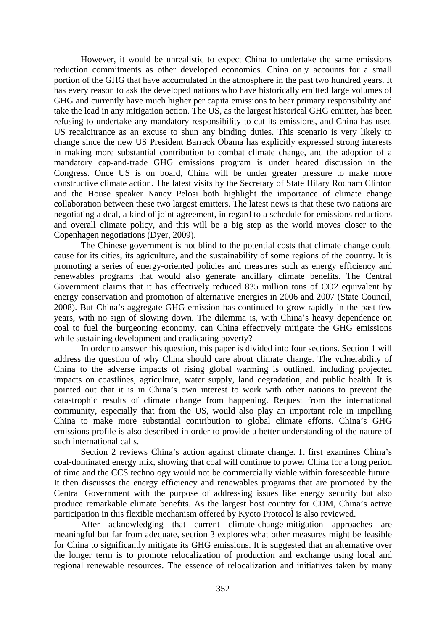However, it would be unrealistic to expect China to undertake the same emissions reduction commitments as other developed economies. China only accounts for a small portion of the GHG that have accumulated in the atmosphere in the past two hundred years. It has every reason to ask the developed nations who have historically emitted large volumes of GHG and currently have much higher per capita emissions to bear primary responsibility and take the lead in any mitigation action. The US, as the largest historical GHG emitter, has been refusing to undertake any mandatory responsibility to cut its emissions, and China has used US recalcitrance as an excuse to shun any binding duties. This scenario is very likely to change since the new US President Barrack Obama has explicitly expressed strong interests in making more substantial contribution to combat climate change, and the adoption of a mandatory cap-and-trade GHG emissions program is under heated discussion in the Congress. Once US is on board, China will be under greater pressure to make more constructive climate action. The latest visits by the Secretary of State Hilary Rodham Clinton and the House speaker Nancy Pelosi both highlight the importance of climate change collaboration between these two largest emitters. The latest news is that these two nations are negotiating a deal, a kind of joint agreement, in regard to a schedule for emissions reductions and overall climate policy, and this will be a big step as the world moves closer to the Copenhagen negotiations (Dyer, 2009).

The Chinese government is not blind to the potential costs that climate change could cause for its cities, its agriculture, and the sustainability of some regions of the country. It is promoting a series of energy-oriented policies and measures such as energy efficiency and renewables programs that would also generate ancillary climate benefits. The Central Government claims that it has effectively reduced 835 million tons of CO2 equivalent by energy conservation and promotion of alternative energies in 2006 and 2007 (State Council, 2008). But China's aggregate GHG emission has continued to grow rapidly in the past few years, with no sign of slowing down. The dilemma is, with China's heavy dependence on coal to fuel the burgeoning economy, can China effectively mitigate the GHG emissions while sustaining development and eradicating poverty?

In order to answer this question, this paper is divided into four sections. Section 1 will address the question of why China should care about climate change. The vulnerability of China to the adverse impacts of rising global warming is outlined, including projected impacts on coastlines, agriculture, water supply, land degradation, and public health. It is pointed out that it is in China's own interest to work with other nations to prevent the catastrophic results of climate change from happening. Request from the international community, especially that from the US, would also play an important role in impelling China to make more substantial contribution to global climate efforts. China's GHG emissions profile is also described in order to provide a better understanding of the nature of such international calls.

Section 2 reviews China's action against climate change. It first examines China's coal-dominated energy mix, showing that coal will continue to power China for a long period of time and the CCS technology would not be commercially viable within foreseeable future. It then discusses the energy efficiency and renewables programs that are promoted by the Central Government with the purpose of addressing issues like energy security but also produce remarkable climate benefits. As the largest host country for CDM, China's active participation in this flexible mechanism offered by Kyoto Protocol is also reviewed.

After acknowledging that current climate-change-mitigation approaches are meaningful but far from adequate, section 3 explores what other measures might be feasible for China to significantly mitigate its GHG emissions. It is suggested that an alternative over the longer term is to promote relocalization of production and exchange using local and regional renewable resources. The essence of relocalization and initiatives taken by many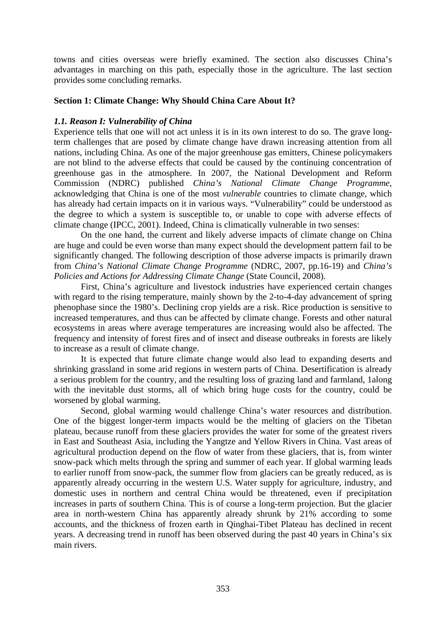towns and cities overseas were briefly examined. The section also discusses China's advantages in marching on this path, especially those in the agriculture. The last section provides some concluding remarks.

## **Section 1: Climate Change: Why Should China Care About It?**

## *1.1. Reason I: Vulnerability of China*

Experience tells that one will not act unless it is in its own interest to do so. The grave longterm challenges that are posed by climate change have drawn increasing attention from all nations, including China. As one of the major greenhouse gas emitters, Chinese policymakers are not blind to the adverse effects that could be caused by the continuing concentration of greenhouse gas in the atmosphere. In 2007, the National Development and Reform Commission (NDRC) published *China's National Climate Change Programme*, acknowledging that China is one of the most *vulnerable* countries to climate change, which has already had certain impacts on it in various ways. "Vulnerability" could be understood as the degree to which a system is susceptible to, or unable to cope with adverse effects of climate change (IPCC, 2001). Indeed, China is climatically vulnerable in two senses:

On the one hand, the current and likely adverse impacts of climate change on China are huge and could be even worse than many expect should the development pattern fail to be significantly changed. The following description of those adverse impacts is primarily drawn from *China's National Climate Change Programme* (NDRC, 2007, pp.16-19) and *China's Policies and Actions for Addressing Climate Change* (State Council, 2008).

First, China's agriculture and livestock industries have experienced certain changes with regard to the rising temperature, mainly shown by the 2-to-4-day advancement of spring phenophase since the 1980's. Declining crop yields are a risk. Rice production is sensitive to increased temperatures, and thus can be affected by climate change. Forests and other natural ecosystems in areas where average temperatures are increasing would also be affected. The frequency and intensity of forest fires and of insect and disease outbreaks in forests are likely to increase as a result of climate change.

It is expected that future climate change would also lead to expanding deserts and shrinking grassland in some arid regions in western parts of China. Desertification is already a serious problem for the country, and the resulting loss of grazing land and farmland, 1along with the inevitable dust storms, all of which bring huge costs for the country, could be worsened by global warming.

Second, global warming would challenge China's water resources and distribution. One of the biggest longer-term impacts would be the melting of glaciers on the Tibetan plateau, because runoff from these glaciers provides the water for some of the greatest rivers in East and Southeast Asia, including the Yangtze and Yellow Rivers in China. Vast areas of agricultural production depend on the flow of water from these glaciers, that is, from winter snow-pack which melts through the spring and summer of each year. If global warming leads to earlier runoff from snow-pack, the summer flow from glaciers can be greatly reduced, as is apparently already occurring in the western U.S. Water supply for agriculture, industry, and domestic uses in northern and central China would be threatened, even if precipitation increases in parts of southern China. This is of course a long-term projection. But the glacier area in north-western China has apparently already shrunk by 21% according to some accounts, and the thickness of frozen earth in Qinghai-Tibet Plateau has declined in recent years. A decreasing trend in runoff has been observed during the past 40 years in China's six main rivers.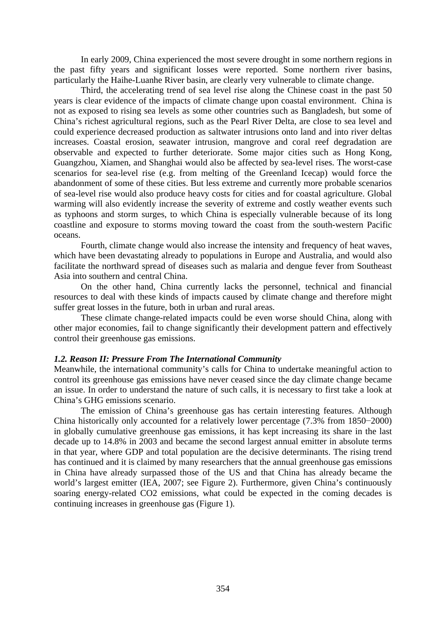In early 2009, China experienced the most severe drought in some northern regions in the past fifty years and significant losses were reported. Some northern river basins, particularly the Haihe-Luanhe River basin, are clearly very vulnerable to climate change.

Third, the accelerating trend of sea level rise along the Chinese coast in the past 50 years is clear evidence of the impacts of climate change upon coastal environment. China is not as exposed to rising sea levels as some other countries such as Bangladesh, but some of China's richest agricultural regions, such as the Pearl River Delta, are close to sea level and could experience decreased production as saltwater intrusions onto land and into river deltas increases. Coastal erosion, seawater intrusion, mangrove and coral reef degradation are observable and expected to further deteriorate. Some major cities such as Hong Kong, Guangzhou, Xiamen, and Shanghai would also be affected by sea-level rises. The worst-case scenarios for sea-level rise (e.g. from melting of the Greenland Icecap) would force the abandonment of some of these cities. But less extreme and currently more probable scenarios of sea-level rise would also produce heavy costs for cities and for coastal agriculture. Global warming will also evidently increase the severity of extreme and costly weather events such as typhoons and storm surges, to which China is especially vulnerable because of its long coastline and exposure to storms moving toward the coast from the south-western Pacific oceans.

Fourth, climate change would also increase the intensity and frequency of heat waves, which have been devastating already to populations in Europe and Australia, and would also facilitate the northward spread of diseases such as malaria and dengue fever from Southeast Asia into southern and central China.

On the other hand, China currently lacks the personnel, technical and financial resources to deal with these kinds of impacts caused by climate change and therefore might suffer great losses in the future, both in urban and rural areas.

These climate change-related impacts could be even worse should China, along with other major economies, fail to change significantly their development pattern and effectively control their greenhouse gas emissions.

## *1.2. Reason II: Pressure From The International Community*

Meanwhile, the international community's calls for China to undertake meaningful action to control its greenhouse gas emissions have never ceased since the day climate change became an issue. In order to understand the nature of such calls, it is necessary to first take a look at China's GHG emissions scenario.

The emission of China's greenhouse gas has certain interesting features. Although China historically only accounted for a relatively lower percentage (7.3% from 1850−2000) in globally cumulative greenhouse gas emissions, it has kept increasing its share in the last decade up to 14.8% in 2003 and became the second largest annual emitter in absolute terms in that year, where GDP and total population are the decisive determinants. The rising trend has continued and it is claimed by many researchers that the annual greenhouse gas emissions in China have already surpassed those of the US and that China has already became the world's largest emitter (IEA, 2007; see Figure 2). Furthermore, given China's continuously soaring energy-related CO2 emissions, what could be expected in the coming decades is continuing increases in greenhouse gas (Figure 1).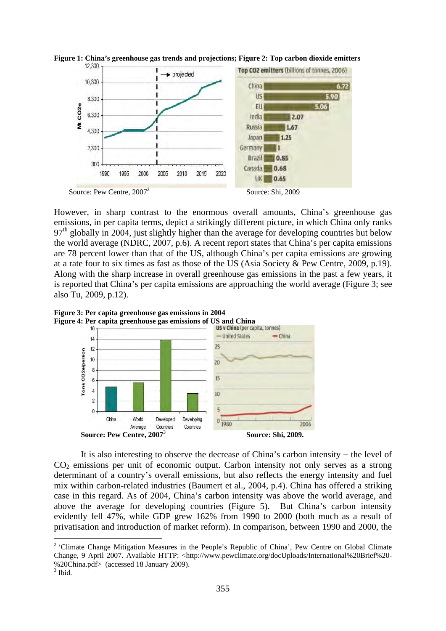



However, in sharp contrast to the enormous overall amounts, China's greenhouse gas emissions, in per capita terms, depict a strikingly different picture, in which China only ranks  $97<sup>th</sup>$  globally in 2004, just slightly higher than the average for developing countries but below the world average (NDRC, 2007, p.6). A recent report states that China's per capita emissions are 78 percent lower than that of the US, although China's per capita emissions are growing at a rate four to six times as fast as those of the US (Asia Society & Pew Centre, 2009, p.19). Along with the sharp increase in overall greenhouse gas emissions in the past a few years, it is reported that China's per capita emissions are approaching the world average (Figure 3; see also Tu, 2009, p.12).





 It is also interesting to observe the decrease of China's carbon intensity − the level of  $CO<sub>2</sub>$  emissions per unit of economic output. Carbon intensity not only serves as a strong determinant of a country's overall emissions, but also reflects the energy intensity and fuel mix within carbon-related industries (Baumert et al., 2004, p.4). China has offered a striking case in this regard. As of 2004, China's carbon intensity was above the world average, and above the average for developing countries (Figure 5). But China's carbon intensity evidently fell 47%, while GDP grew 162% from 1990 to 2000 (both much as a result of privatisation and introduction of market reform). In comparison, between 1990 and 2000, the

<sup>&</sup>lt;sup>2</sup> 'Climate Change Mitigation Measures in the People's Republic of China', Pew Centre on Global Climate Change, 9 April 2007. Available HTTP: <http://www.pewclimate.org/docUploads/International%20Brief%20-%20China.pdf> (accessed 18 January 2009).

 $3$  Ibid.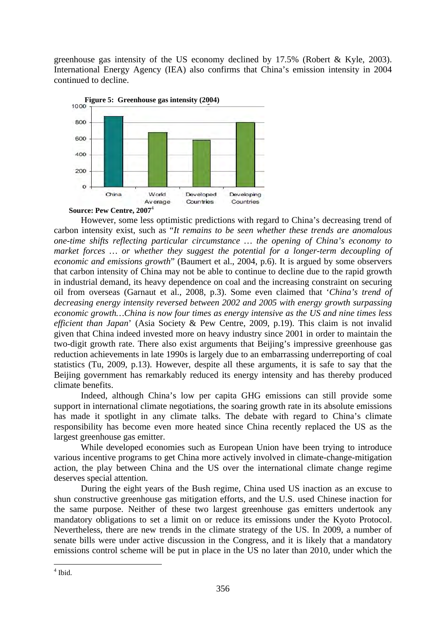greenhouse gas intensity of the US economy declined by 17.5% (Robert & Kyle, 2003). International Energy Agency (IEA) also confirms that China's emission intensity in 2004 continued to decline.



**Source: Pew Centre, 2007**<sup>4</sup>

 However, some less optimistic predictions with regard to China's decreasing trend of carbon intensity exist, such as "*It remains to be seen whether these trends are anomalous one-time shifts reflecting particular circumstance … the opening of China's economy to market forces … or whether they suggest the potential for a longer-term decoupling of economic and emissions growth*" (Baumert et al., 2004, p.6). It is argued by some observers that carbon intensity of China may not be able to continue to decline due to the rapid growth in industrial demand, its heavy dependence on coal and the increasing constraint on securing oil from overseas (Garnaut et al., 2008, p.3). Some even claimed that '*China's trend of decreasing energy intensity reversed between 2002 and 2005 with energy growth surpassing economic growth…China is now four times as energy intensive as the US and nine times less efficient than Japan*' (Asia Society & Pew Centre, 2009, p.19). This claim is not invalid given that China indeed invested more on heavy industry since 2001 in order to maintain the two-digit growth rate. There also exist arguments that Beijing's impressive greenhouse gas reduction achievements in late 1990s is largely due to an embarrassing underreporting of coal statistics (Tu, 2009, p.13). However, despite all these arguments, it is safe to say that the Beijing government has remarkably reduced its energy intensity and has thereby produced climate benefits.

Indeed, although China's low per capita GHG emissions can still provide some support in international climate negotiations, the soaring growth rate in its absolute emissions has made it spotlight in any climate talks. The debate with regard to China's climate responsibility has become even more heated since China recently replaced the US as the largest greenhouse gas emitter.

While developed economies such as European Union have been trying to introduce various incentive programs to get China more actively involved in climate-change-mitigation action, the play between China and the US over the international climate change regime deserves special attention.

During the eight years of the Bush regime, China used US inaction as an excuse to shun constructive greenhouse gas mitigation efforts, and the U.S. used Chinese inaction for the same purpose. Neither of these two largest greenhouse gas emitters undertook any mandatory obligations to set a limit on or reduce its emissions under the Kyoto Protocol. Nevertheless, there are new trends in the climate strategy of the US. In 2009, a number of senate bills were under active discussion in the Congress, and it is likely that a mandatory emissions control scheme will be put in place in the US no later than 2010, under which the

<sup>4</sup> Ibid.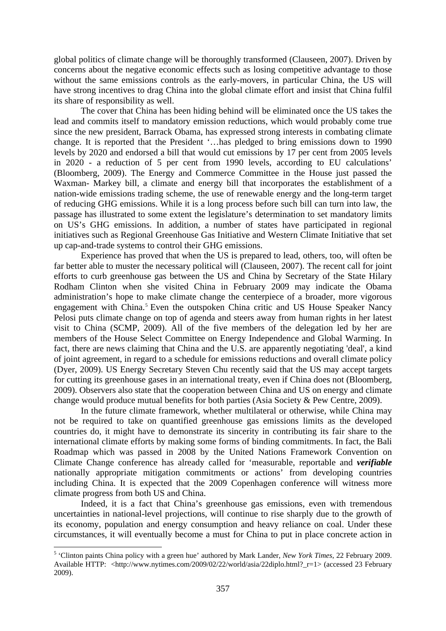global politics of climate change will be thoroughly transformed (Clauseen, 2007). Driven by concerns about the negative economic effects such as losing competitive advantage to those without the same emissions controls as the early-movers, in particular China, the US will have strong incentives to drag China into the global climate effort and insist that China fulfil its share of responsibility as well.

The cover that China has been hiding behind will be eliminated once the US takes the lead and commits itself to mandatory emission reductions, which would probably come true since the new president, Barrack Obama, has expressed strong interests in combating climate change. It is reported that the President '…has pledged to bring emissions down to 1990 levels by 2020 and endorsed a bill that would cut emissions by 17 per cent from 2005 levels in 2020 - a reduction of 5 per cent from 1990 levels, according to EU calculations' (Bloomberg, 2009). The Energy and Commerce Committee in the House just passed the Waxman- Markey bill, a climate and energy bill that incorporates the establishment of a nation-wide emissions trading scheme, the use of renewable energy and the long-term target of reducing GHG emissions. While it is a long process before such bill can turn into law, the passage has illustrated to some extent the legislature's determination to set mandatory limits on US's GHG emissions. In addition, a number of states have participated in regional initiatives such as Regional Greenhouse Gas Initiative and Western Climate Initiative that set up cap-and-trade systems to control their GHG emissions.

Experience has proved that when the US is prepared to lead, others, too, will often be far better able to muster the necessary political will (Clauseen, 2007). The recent call for joint efforts to curb greenhouse gas between the US and China by Secretary of the State Hilary Rodham Clinton when she visited China in February 2009 may indicate the Obama administration's hope to make climate change the centerpiece of a broader, more vigorous engagement with China.<sup>5</sup> Even the outspoken China critic and US House Speaker Nancy Pelosi puts climate change on top of agenda and steers away from human rights in her latest visit to China (SCMP, 2009). All of the five members of the delegation led by her are members of the House Select Committee on Energy Independence and Global Warming. In fact, there are news claiming that China and the U.S. are apparently negotiating 'deal', a kind of joint agreement, in regard to a schedule for emissions reductions and overall climate policy (Dyer, 2009). US Energy Secretary Steven Chu recently said that the US may accept targets for cutting its greenhouse gases in an international treaty, even if China does not (Bloomberg, 2009). Observers also state that the cooperation between China and US on energy and climate change would produce mutual benefits for both parties (Asia Society & Pew Centre, 2009).

In the future climate framework, whether multilateral or otherwise, while China may not be required to take on quantified greenhouse gas emissions limits as the developed countries do, it might have to demonstrate its sincerity in contributing its fair share to the international climate efforts by making some forms of binding commitments. In fact, the Bali Roadmap which was passed in 2008 by the United Nations Framework Convention on Climate Change conference has already called for 'measurable, reportable and *verifiable* nationally appropriate mitigation commitments or actions' from developing countries including China. It is expected that the 2009 Copenhagen conference will witness more climate progress from both US and China.

Indeed, it is a fact that China's greenhouse gas emissions, even with tremendous uncertainties in national-level projections, will continue to rise sharply due to the growth of its economy, population and energy consumption and heavy reliance on coal. Under these circumstances, it will eventually become a must for China to put in place concrete action in

<sup>5</sup> 'Clinton paints China policy with a green hue' authored by Mark Lander, *New York Times*, 22 February 2009. Available HTTP: <http://www.nytimes.com/2009/02/22/world/asia/22diplo.html?\_r=1> (accessed 23 February 2009).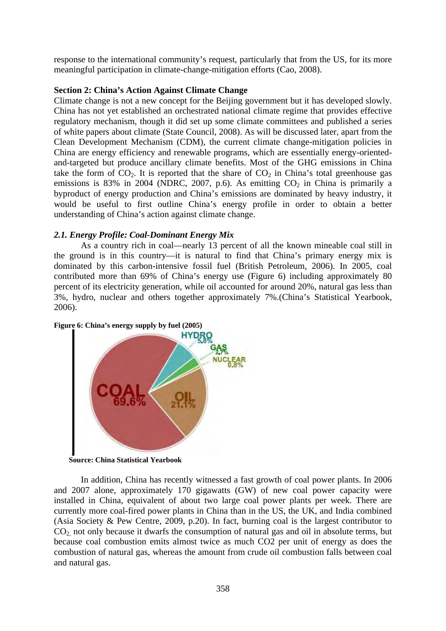response to the international community's request, particularly that from the US, for its more meaningful participation in climate-change-mitigation efforts (Cao, 2008).

## **Section 2: China's Action Against Climate Change**

Climate change is not a new concept for the Beijing government but it has developed slowly. China has not yet established an orchestrated national climate regime that provides effective regulatory mechanism, though it did set up some climate committees and published a series of white papers about climate (State Council, 2008). As will be discussed later, apart from the Clean Development Mechanism (CDM), the current climate change-mitigation policies in China are energy efficiency and renewable programs, which are essentially energy-orientedand-targeted but produce ancillary climate benefits. Most of the GHG emissions in China take the form of  $CO<sub>2</sub>$ . It is reported that the share of  $CO<sub>2</sub>$  in China's total greenhouse gas emissions is 83% in 2004 (NDRC, 2007, p.6). As emitting  $CO<sub>2</sub>$  in China is primarily a byproduct of energy production and China's emissions are dominated by heavy industry, it would be useful to first outline China's energy profile in order to obtain a better understanding of China's action against climate change.

## *2.1. Energy Profile: Coal-Dominant Energy Mix*

As a country rich in coal—nearly 13 percent of all the known mineable coal still in the ground is in this country—it is natural to find that China's primary energy mix is dominated by this carbon-intensive fossil fuel (British Petroleum, 2006). In 2005, coal contributed more than 69% of China's energy use (Figure 6) including approximately 80 percent of its electricity generation, while oil accounted for around 20%, natural gas less than 3%, hydro, nuclear and others together approximately 7%.(China's Statistical Yearbook, 2006).



## **Figure 6: China's energy supply by fuel (2005)**

**Source: China Statistical Yearbook** 

 In addition, China has recently witnessed a fast growth of coal power plants. In 2006 and 2007 alone, approximately 170 gigawatts (GW) of new coal power capacity were installed in China, equivalent of about two large coal power plants per week. There are currently more coal-fired power plants in China than in the US, the UK, and India combined (Asia Society & Pew Centre, 2009, p.20). In fact, burning coal is the largest contributor to  $CO<sub>2</sub>$  not only because it dwarfs the consumption of natural gas and oil in absolute terms, but because coal combustion emits almost twice as much CO2 per unit of energy as does the combustion of natural gas, whereas the amount from crude oil combustion falls between coal and natural gas.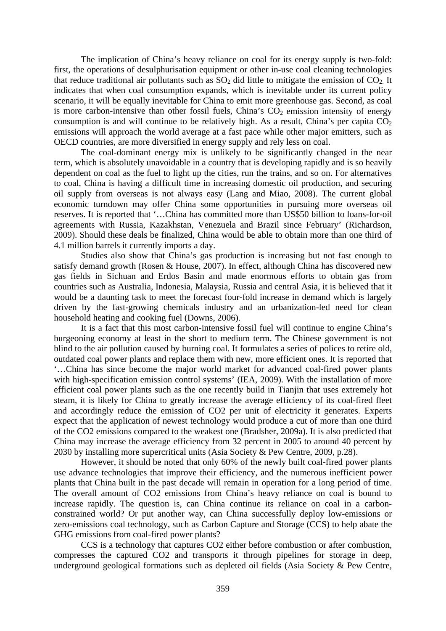The implication of China's heavy reliance on coal for its energy supply is two-fold: first, the operations of desulphurisation equipment or other in-use coal cleaning technologies that reduce traditional air pollutants such as  $SO_2$  did little to mitigate the emission of  $CO_2$ . It indicates that when coal consumption expands, which is inevitable under its current policy scenario, it will be equally inevitable for China to emit more greenhouse gas. Second, as coal is more carbon-intensive than other fossil fuels, China's  $CO<sub>2</sub>$  emission intensity of energy consumption is and will continue to be relatively high. As a result, China's per capita  $CO<sub>2</sub>$ emissions will approach the world average at a fast pace while other major emitters, such as OECD countries, are more diversified in energy supply and rely less on coal.

The coal-dominant energy mix is unlikely to be significantly changed in the near term, which is absolutely unavoidable in a country that is developing rapidly and is so heavily dependent on coal as the fuel to light up the cities, run the trains, and so on. For alternatives to coal, China is having a difficult time in increasing domestic oil production, and securing oil supply from overseas is not always easy (Lang and Miao, 2008). The current global economic turndown may offer China some opportunities in pursuing more overseas oil reserves. It is reported that '…China has committed more than US\$50 billion to loans-for-oil agreements with Russia, Kazakhstan, Venezuela and Brazil since February' (Richardson, 2009). Should these deals be finalized, China would be able to obtain more than one third of 4.1 million barrels it currently imports a day.

Studies also show that China's gas production is increasing but not fast enough to satisfy demand growth (Rosen & House, 2007). In effect, although China has discovered new gas fields in Sichuan and Erdos Basin and made enormous efforts to obtain gas from countries such as Australia, Indonesia, Malaysia, Russia and central Asia, it is believed that it would be a daunting task to meet the forecast four-fold increase in demand which is largely driven by the fast-growing chemicals industry and an urbanization-led need for clean household heating and cooking fuel (Downs, 2006).

It is a fact that this most carbon-intensive fossil fuel will continue to engine China's burgeoning economy at least in the short to medium term. The Chinese government is not blind to the air pollution caused by burning coal. It formulates a series of polices to retire old, outdated coal power plants and replace them with new, more efficient ones. It is reported that '…China has since become the major world market for advanced coal-fired power plants with high-specification emission control systems' (IEA, 2009). With the installation of more efficient coal power plants such as the one recently build in Tianjin that uses extremely hot steam, it is likely for China to greatly increase the average efficiency of its coal-fired fleet and accordingly reduce the emission of CO2 per unit of electricity it generates. Experts expect that the application of newest technology would produce a cut of more than one third of the CO2 emissions compared to the weakest one (Bradsher, 2009a). It is also predicted that China may increase the average efficiency from 32 percent in 2005 to around 40 percent by 2030 by installing more supercritical units (Asia Society & Pew Centre, 2009, p.28).

However, it should be noted that only 60% of the newly built coal-fired power plants use advance technologies that improve their efficiency, and the numerous inefficient power plants that China built in the past decade will remain in operation for a long period of time. The overall amount of CO2 emissions from China's heavy reliance on coal is bound to increase rapidly. The question is, can China continue its reliance on coal in a carbonconstrained world? Or put another way, can China successfully deploy low-emissions or zero-emissions coal technology, such as Carbon Capture and Storage (CCS) to help abate the GHG emissions from coal-fired power plants?

CCS is a technology that captures CO2 either before combustion or after combustion, compresses the captured CO2 and transports it through pipelines for storage in deep, underground geological formations such as depleted oil fields (Asia Society & Pew Centre,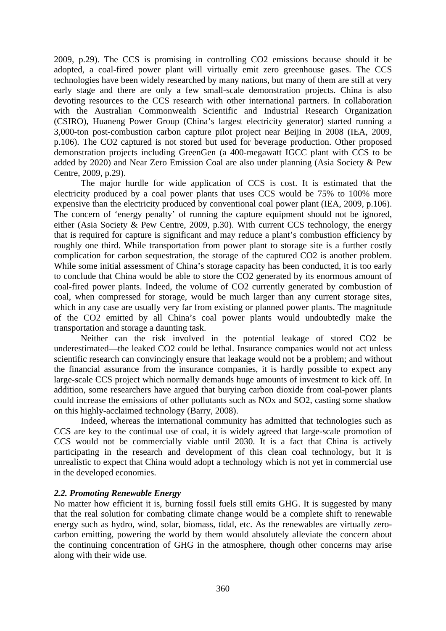2009, p.29). The CCS is promising in controlling CO2 emissions because should it be adopted, a coal-fired power plant will virtually emit zero greenhouse gases. The CCS technologies have been widely researched by many nations, but many of them are still at very early stage and there are only a few small-scale demonstration projects. China is also devoting resources to the CCS research with other international partners. In collaboration with the Australian Commonwealth Scientific and Industrial Research Organization (CSIRO), Huaneng Power Group (China's largest electricity generator) started running a 3,000-ton post-combustion carbon capture pilot project near Beijing in 2008 (IEA, 2009, p.106). The CO2 captured is not stored but used for beverage production. Other proposed demonstration projects including GreenGen (a 400-megawatt IGCC plant with CCS to be added by 2020) and Near Zero Emission Coal are also under planning (Asia Society & Pew Centre, 2009, p.29).

 The major hurdle for wide application of CCS is cost. It is estimated that the electricity produced by a coal power plants that uses CCS would be 75% to 100% more expensive than the electricity produced by conventional coal power plant (IEA, 2009, p.106). The concern of 'energy penalty' of running the capture equipment should not be ignored, either (Asia Society & Pew Centre, 2009, p.30). With current CCS technology, the energy that is required for capture is significant and may reduce a plant's combustion efficiency by roughly one third. While transportation from power plant to storage site is a further costly complication for carbon sequestration, the storage of the captured CO2 is another problem. While some initial assessment of China's storage capacity has been conducted, it is too early to conclude that China would be able to store the CO2 generated by its enormous amount of coal-fired power plants. Indeed, the volume of CO2 currently generated by combustion of coal, when compressed for storage, would be much larger than any current storage sites, which in any case are usually very far from existing or planned power plants. The magnitude of the CO2 emitted by all China's coal power plants would undoubtedly make the transportation and storage a daunting task.

Neither can the risk involved in the potential leakage of stored CO2 be underestimated—the leaked CO2 could be lethal. Insurance companies would not act unless scientific research can convincingly ensure that leakage would not be a problem; and without the financial assurance from the insurance companies, it is hardly possible to expect any large-scale CCS project which normally demands huge amounts of investment to kick off. In addition, some researchers have argued that burying carbon dioxide from coal-power plants could increase the emissions of other pollutants such as NOx and SO2, casting some shadow on this highly-acclaimed technology (Barry, 2008).

Indeed, whereas the international community has admitted that technologies such as CCS are key to the continual use of coal, it is widely agreed that large-scale promotion of CCS would not be commercially viable until 2030. It is a fact that China is actively participating in the research and development of this clean coal technology, but it is unrealistic to expect that China would adopt a technology which is not yet in commercial use in the developed economies.

## *2.2. Promoting Renewable Energy*

No matter how efficient it is, burning fossil fuels still emits GHG. It is suggested by many that the real solution for combating climate change would be a complete shift to renewable energy such as hydro, wind, solar, biomass, tidal, etc. As the renewables are virtually zerocarbon emitting, powering the world by them would absolutely alleviate the concern about the continuing concentration of GHG in the atmosphere, though other concerns may arise along with their wide use.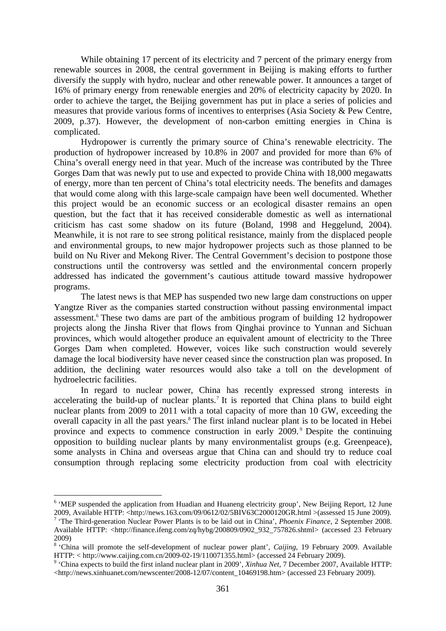While obtaining 17 percent of its electricity and 7 percent of the primary energy from renewable sources in 2008, the central government in Beijing is making efforts to further diversify the supply with hydro, nuclear and other renewable power. It announces a target of 16% of primary energy from renewable energies and 20% of electricity capacity by 2020. In order to achieve the target, the Beijing government has put in place a series of policies and measures that provide various forms of incentives to enterprises (Asia Society & Pew Centre, 2009, p.37). However, the development of non-carbon emitting energies in China is complicated.

Hydropower is currently the primary source of China's renewable electricity. The production of hydropower increased by 10.8% in 2007 and provided for more than 6% of China's overall energy need in that year. Much of the increase was contributed by the Three Gorges Dam that was newly put to use and expected to provide China with 18,000 megawatts of energy, more than ten percent of China's total electricity needs. The benefits and damages that would come along with this large-scale campaign have been well documented. Whether this project would be an economic success or an ecological disaster remains an open question, but the fact that it has received considerable domestic as well as international criticism has cast some shadow on its future (Boland, 1998 and Heggelund, 2004). Meanwhile, it is not rare to see strong political resistance, mainly from the displaced people and environmental groups, to new major hydropower projects such as those planned to be build on Nu River and Mekong River. The Central Government's decision to postpone those constructions until the controversy was settled and the environmental concern properly addressed has indicated the government's cautious attitude toward massive hydropower programs.

The latest news is that MEP has suspended two new large dam constructions on upper Yangtze River as the companies started construction without passing environmental impact assessment.<sup>6</sup> These two dams are part of the ambitious program of building 12 hydropower projects along the Jinsha River that flows from Qinghai province to Yunnan and Sichuan provinces, which would altogether produce an equivalent amount of electricity to the Three Gorges Dam when completed. However, voices like such construction would severely damage the local biodiversity have never ceased since the construction plan was proposed. In addition, the declining water resources would also take a toll on the development of hydroelectric facilities.

In regard to nuclear power, China has recently expressed strong interests in accelerating the build-up of nuclear plants.<sup>7</sup> It is reported that China plans to build eight nuclear plants from 2009 to 2011 with a total capacity of more than 10 GW, exceeding the overall capacity in all the past years.<sup>8</sup> The first inland nuclear plant is to be located in Hebei province and expects to commence construction in early 2009. 9 Despite the continuing opposition to building nuclear plants by many environmentalist groups (e.g. Greenpeace), some analysts in China and overseas argue that China can and should try to reduce coal consumption through replacing some electricity production from coal with electricity

<sup>&</sup>lt;sup>6</sup> 'MEP suspended the application from Huadian and Huaneng electricity group', New Beijing Report, 12 June 2009, Available HTTP: <http://news.163.com/09/0612/02/5BIV63C2000120GR.html >(assessed 15 June 2009).

<sup>&</sup>lt;sup>7</sup> 'The Third-generation Nuclear Power Plants is to be laid out in China', *Phoenix Finance*, 2 September 2008. Available HTTP: <http://finance.ifeng.com/zq/hybg/200809/0902\_932\_757826.shtml> (accessed 23 February 2009)

<sup>&</sup>lt;sup>8</sup> 'China will promote the self-development of nuclear power plant', *Caijing*, 19 February 2009. Available HTTP: < http://www.caijing.com.cn/2009-02-19/110071355.html> (accessed 24 February 2009).

<sup>&</sup>lt;sup>9</sup> 'China expects to build the first inland nuclear plant in 2009', *Xinhua Net*, 7 December 2007, Available HTTP: <http://news.xinhuanet.com/newscenter/2008-12/07/content\_10469198.htm> (accessed 23 February 2009).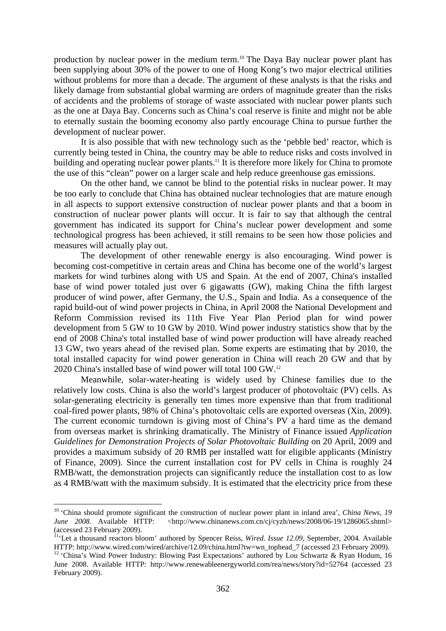production by nuclear power in the medium term.10 The Daya Bay nuclear power plant has been supplying about 30% of the power to one of Hong Kong's two major electrical utilities without problems for more than a decade. The argument of these analysts is that the risks and likely damage from substantial global warming are orders of magnitude greater than the risks of accidents and the problems of storage of waste associated with nuclear power plants such as the one at Daya Bay. Concerns such as China's coal reserve is finite and might not be able to eternally sustain the booming economy also partly encourage China to pursue further the development of nuclear power.

It is also possible that with new technology such as the 'pebble bed' reactor, which is currently being tested in China, the country may be able to reduce risks and costs involved in building and operating nuclear power plants.<sup>11</sup> It is therefore more likely for China to promote the use of this "clean" power on a larger scale and help reduce greenhouse gas emissions.

On the other hand, we cannot be blind to the potential risks in nuclear power. It may be too early to conclude that China has obtained nuclear technologies that are mature enough in all aspects to support extensive construction of nuclear power plants and that a boom in construction of nuclear power plants will occur. It is fair to say that although the central government has indicated its support for China's nuclear power development and some technological progress has been achieved, it still remains to be seen how those policies and measures will actually play out.

The development of other renewable energy is also encouraging. Wind power is becoming cost-competitive in certain areas and China has become one of the world's largest markets for wind turbines along with US and Spain. At the end of 2007, China's installed base of wind power totaled just over 6 gigawatts (GW), making China the fifth largest producer of wind power, after Germany, the U.S., Spain and India. As a consequence of the rapid build-out of wind power projects in China, in April 2008 the National Development and Reform Commission revised its 11th Five Year Plan Period plan for wind power development from 5 GW to 10 GW by 2010. Wind power industry statistics show that by the end of 2008 China's total installed base of wind power production will have already reached 13 GW, two years ahead of the revised plan. Some experts are estimating that by 2010, the total installed capacity for wind power generation in China will reach 20 GW and that by 2020 China's installed base of wind power will total 100 GW.12

Meanwhile, solar-water-heating is widely used by Chinese families due to the relatively low costs. China is also the world's largest producer of photovoltaic (PV) cells. As solar-generating electricity is generally ten times more expensive than that from traditional coal-fired power plants, 98% of China's photovoltaic cells are exported overseas (Xin, 2009). The current economic turndown is giving most of China's PV a hard time as the demand from overseas market is shrinking dramatically. The Ministry of Finance issued *Application Guidelines for Demonstration Projects of Solar Photovoltaic Building* on 20 April, 2009 and provides a maximum subsidy of 20 RMB per installed watt for eligible applicants (Ministry of Finance, 2009). Since the current installation cost for PV cells in China is roughly 24 RMB/watt, the demonstration projects can significantly reduce the installation cost to as low as 4 RMB/watt with the maximum subsidy. It is estimated that the electricity price from these

<sup>10 &#</sup>x27;China should promote significant the construction of nuclear power plant in inland area', *China News, 19 June 2008.* Available HTTP: <http://www.chinanews.com.cn/cj/cyzh/news/2008/06-19/1286065.shtml> (accessed 23 February 2009).

<sup>&</sup>lt;sup>11</sup>'Let a thousand reactors bloom' authored by Spencer Reiss, *Wired. Issue 12.09*, September, 2004. Available HTTP: http://www.wired.com/wired/archive/12.09/china.html?tw=wn\_tophead\_7 (accessed 23 February 2009).

<sup>&</sup>lt;sup>12</sup> 'China's Wind Power Industry: Blowing Past Expectations' authored by Lou Schwartz & Ryan Hodum, 16 June 2008. Available HTTP: http://www.renewableenergyworld.com/rea/news/story?id=52764 (accessed 23 February 2009).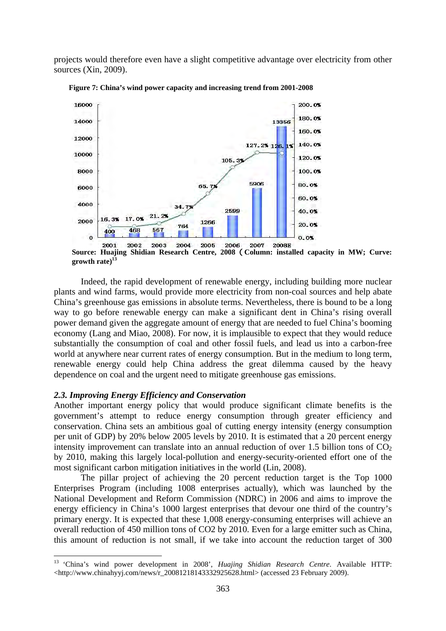projects would therefore even have a slight competitive advantage over electricity from other sources (Xin, 2009).



**Figure 7: China's wind power capacity and increasing trend from 2001-2008** 

**Source: Huajing Shidian Research Centre, 2008**(**Column: installed capacity in MW; Curve: growth rate)13**

 Indeed, the rapid development of renewable energy, including building more nuclear plants and wind farms, would provide more electricity from non-coal sources and help abate China's greenhouse gas emissions in absolute terms. Nevertheless, there is bound to be a long way to go before renewable energy can make a significant dent in China's rising overall power demand given the aggregate amount of energy that are needed to fuel China's booming economy (Lang and Miao, 2008). For now, it is implausible to expect that they would reduce substantially the consumption of coal and other fossil fuels, and lead us into a carbon-free world at anywhere near current rates of energy consumption. But in the medium to long term, renewable energy could help China address the great dilemma caused by the heavy dependence on coal and the urgent need to mitigate greenhouse gas emissions.

## *2.3. Improving Energy Efficiency and Conservation*

1

Another important energy policy that would produce significant climate benefits is the government's attempt to reduce energy consumption through greater efficiency and conservation. China sets an ambitious goal of cutting energy intensity (energy consumption per unit of GDP) by 20% below 2005 levels by 2010. It is estimated that a 20 percent energy intensity improvement can translate into an annual reduction of over 1.5 billion tons of  $CO<sub>2</sub>$ by 2010, making this largely local-pollution and energy-security-oriented effort one of the most significant carbon mitigation initiatives in the world (Lin, 2008).

The pillar project of achieving the 20 percent reduction target is the Top 1000 Enterprises Program (including 1008 enterprises actually), which was launched by the National Development and Reform Commission (NDRC) in 2006 and aims to improve the energy efficiency in China's 1000 largest enterprises that devour one third of the country's primary energy. It is expected that these 1,008 energy-consuming enterprises will achieve an overall reduction of 450 million tons of CO2 by 2010. Even for a large emitter such as China, this amount of reduction is not small, if we take into account the reduction target of 300

<sup>13</sup> 'China's wind power development in 2008', *Huajing Shidian Research Centre*. Available HTTP: <http://www.chinahyyj.com/news/r\_20081218143332925628.html> (accessed 23 February 2009).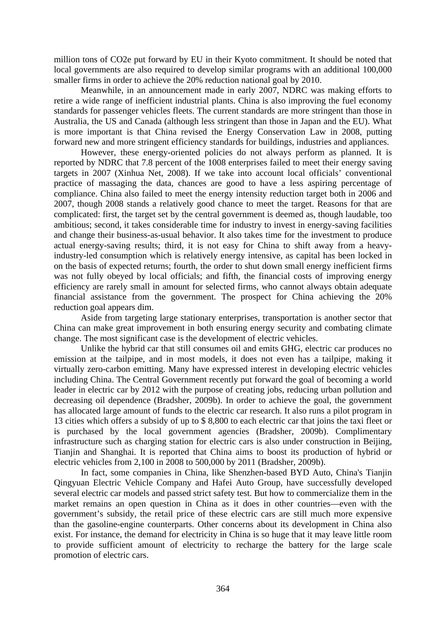million tons of CO2e put forward by EU in their Kyoto commitment. It should be noted that local governments are also required to develop similar programs with an additional 100,000 smaller firms in order to achieve the 20% reduction national goal by 2010.

Meanwhile, in an announcement made in early 2007, NDRC was making efforts to retire a wide range of inefficient industrial plants. China is also improving the fuel economy standards for passenger vehicles fleets. The current standards are more stringent than those in Australia, the US and Canada (although less stringent than those in Japan and the EU). What is more important is that China revised the Energy Conservation Law in 2008, putting forward new and more stringent efficiency standards for buildings, industries and appliances.

However, these energy-oriented policies do not always perform as planned. It is reported by NDRC that 7.8 percent of the 1008 enterprises failed to meet their energy saving targets in 2007 (Xinhua Net, 2008). If we take into account local officials' conventional practice of massaging the data, chances are good to have a less aspiring percentage of compliance. China also failed to meet the energy intensity reduction target both in 2006 and 2007, though 2008 stands a relatively good chance to meet the target. Reasons for that are complicated: first, the target set by the central government is deemed as, though laudable, too ambitious; second, it takes considerable time for industry to invest in energy-saving facilities and change their business-as-usual behavior. It also takes time for the investment to produce actual energy-saving results; third, it is not easy for China to shift away from a heavyindustry-led consumption which is relatively energy intensive, as capital has been locked in on the basis of expected returns; fourth, the order to shut down small energy inefficient firms was not fully obeyed by local officials; and fifth, the financial costs of improving energy efficiency are rarely small in amount for selected firms, who cannot always obtain adequate financial assistance from the government. The prospect for China achieving the 20% reduction goal appears dim.

Aside from targeting large stationary enterprises, transportation is another sector that China can make great improvement in both ensuring energy security and combating climate change. The most significant case is the development of electric vehicles.

Unlike the hybrid car that still consumes oil and emits GHG, electric car produces no emission at the tailpipe, and in most models, it does not even has a tailpipe, making it virtually zero-carbon emitting. Many have expressed interest in developing electric vehicles including China. The Central Government recently put forward the goal of becoming a world leader in electric car by 2012 with the purpose of creating jobs, reducing urban pollution and decreasing oil dependence (Bradsher, 2009b). In order to achieve the goal, the government has allocated large amount of funds to the electric car research. It also runs a pilot program in 13 cities which offers a subsidy of up to \$ 8,800 to each electric car that joins the taxi fleet or is purchased by the local government agencies (Bradsher, 2009b). Complimentary infrastructure such as charging station for electric cars is also under construction in Beijing, Tianjin and Shanghai. It is reported that China aims to boost its production of hybrid or electric vehicles from 2,100 in 2008 to 500,000 by 2011 (Bradsher, 2009b).

In fact, some companies in China, like Shenzhen-based BYD Auto, China's Tianjin Qingyuan Electric Vehicle Company and Hafei Auto Group, have successfully developed several electric car models and passed strict safety test. But how to commercialize them in the market remains an open question in China as it does in other countries—even with the government's subsidy, the retail price of these electric cars are still much more expensive than the gasoline-engine counterparts. Other concerns about its development in China also exist. For instance, the demand for electricity in China is so huge that it may leave little room to provide sufficient amount of electricity to recharge the battery for the large scale promotion of electric cars.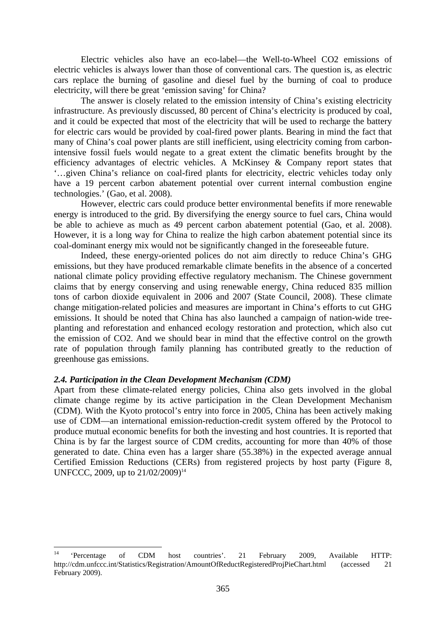Electric vehicles also have an eco-label—the Well-to-Wheel CO2 emissions of electric vehicles is always lower than those of conventional cars. The question is, as electric cars replace the burning of gasoline and diesel fuel by the burning of coal to produce electricity, will there be great 'emission saving' for China?

The answer is closely related to the emission intensity of China's existing electricity infrastructure. As previously discussed, 80 percent of China's electricity is produced by coal, and it could be expected that most of the electricity that will be used to recharge the battery for electric cars would be provided by coal-fired power plants. Bearing in mind the fact that many of China's coal power plants are still inefficient, using electricity coming from carbonintensive fossil fuels would negate to a great extent the climatic benefits brought by the efficiency advantages of electric vehicles. A McKinsey & Company report states that '…given China's reliance on coal-fired plants for electricity, electric vehicles today only have a 19 percent carbon abatement potential over current internal combustion engine technologies.' (Gao, et al. 2008).

However, electric cars could produce better environmental benefits if more renewable energy is introduced to the grid. By diversifying the energy source to fuel cars, China would be able to achieve as much as 49 percent carbon abatement potential (Gao, et al. 2008). However, it is a long way for China to realize the high carbon abatement potential since its coal-dominant energy mix would not be significantly changed in the foreseeable future.

Indeed, these energy-oriented polices do not aim directly to reduce China's GHG emissions, but they have produced remarkable climate benefits in the absence of a concerted national climate policy providing effective regulatory mechanism. The Chinese government claims that by energy conserving and using renewable energy, China reduced 835 million tons of carbon dioxide equivalent in 2006 and 2007 (State Council, 2008). These climate change mitigation-related policies and measures are important in China's efforts to cut GHG emissions. It should be noted that China has also launched a campaign of nation-wide treeplanting and reforestation and enhanced ecology restoration and protection, which also cut the emission of CO2. And we should bear in mind that the effective control on the growth rate of population through family planning has contributed greatly to the reduction of greenhouse gas emissions.

## *2.4. Participation in the Clean Development Mechanism (CDM)*

Apart from these climate-related energy policies, China also gets involved in the global climate change regime by its active participation in the Clean Development Mechanism (CDM). With the Kyoto protocol's entry into force in 2005, China has been actively making use of CDM—an international emission-reduction-credit system offered by the Protocol to produce mutual economic benefits for both the investing and host countries. It is reported that China is by far the largest source of CDM credits, accounting for more than 40% of those generated to date. China even has a larger share (55.38%) in the expected average annual Certified Emission Reductions (CERs) from registered projects by host party (Figure 8, UNFCCC, 2009, up to  $21/02/2009$ <sup>14</sup>

 $14$ <sup>14</sup> 'Percentage of CDM host countries'. 21 February 2009, Available HTTP: http://cdm.unfccc.int/Statistics/Registration/AmountOfReductRegisteredProjPieChart.html (accessed 21 February 2009).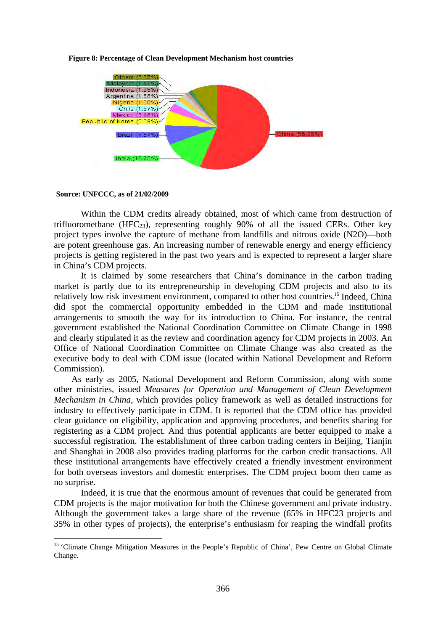

**Figure 8: Percentage of Clean Development Mechanism host countries** 

**Source: UNFCCC, as of 21/02/2009** 

1

 Within the CDM credits already obtained, most of which came from destruction of trifluoromethane (HFC<sub>23</sub>), representing roughly 90% of all the issued CERs. Other key project types involve the capture of methane from landfills and nitrous oxide (N2O)—both are potent greenhouse gas. An increasing number of renewable energy and energy efficiency projects is getting registered in the past two years and is expected to represent a larger share in China's CDM projects.

It is claimed by some researchers that China's dominance in the carbon trading market is partly due to its entrepreneurship in developing CDM projects and also to its relatively low risk investment environment, compared to other host countries.15 Indeed, China did spot the commercial opportunity embedded in the CDM and made institutional arrangements to smooth the way for its introduction to China. For instance, the central government established the National Coordination Committee on Climate Change in 1998 and clearly stipulated it as the review and coordination agency for CDM projects in 2003. An Office of National Coordination Committee on Climate Change was also created as the executive body to deal with CDM issue (located within National Development and Reform Commission).

As early as 2005, National Development and Reform Commission, along with some other ministries, issued *Measures for Operation and Management of Clean Development Mechanism in China*, which provides policy framework as well as detailed instructions for industry to effectively participate in CDM. It is reported that the CDM office has provided clear guidance on eligibility, application and approving procedures, and benefits sharing for registering as a CDM project. And thus potential applicants are better equipped to make a successful registration. The establishment of three carbon trading centers in Beijing, Tianjin and Shanghai in 2008 also provides trading platforms for the carbon credit transactions. All these institutional arrangements have effectively created a friendly investment environment for both overseas investors and domestic enterprises. The CDM project boom then came as no surprise.

Indeed, it is true that the enormous amount of revenues that could be generated from CDM projects is the major motivation for both the Chinese government and private industry. Although the government takes a large share of the revenue (65% in HFC23 projects and 35% in other types of projects), the enterprise's enthusiasm for reaping the windfall profits

<sup>&</sup>lt;sup>15</sup> 'Climate Change Mitigation Measures in the People's Republic of China', Pew Centre on Global Climate Change.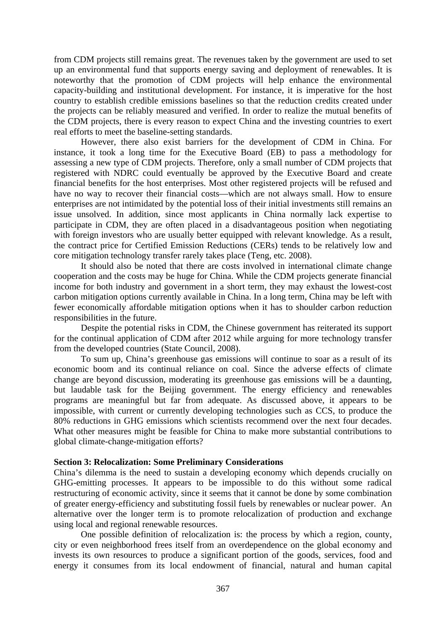from CDM projects still remains great. The revenues taken by the government are used to set up an environmental fund that supports energy saving and deployment of renewables. It is noteworthy that the promotion of CDM projects will help enhance the environmental capacity-building and institutional development. For instance, it is imperative for the host country to establish credible emissions baselines so that the reduction credits created under the projects can be reliably measured and verified. In order to realize the mutual benefits of the CDM projects, there is every reason to expect China and the investing countries to exert real efforts to meet the baseline-setting standards.

However, there also exist barriers for the development of CDM in China. For instance, it took a long time for the Executive Board (EB) to pass a methodology for assessing a new type of CDM projects. Therefore, only a small number of CDM projects that registered with NDRC could eventually be approved by the Executive Board and create financial benefits for the host enterprises. Most other registered projects will be refused and have no way to recover their financial costs—which are not always small. How to ensure enterprises are not intimidated by the potential loss of their initial investments still remains an issue unsolved. In addition, since most applicants in China normally lack expertise to participate in CDM, they are often placed in a disadvantageous position when negotiating with foreign investors who are usually better equipped with relevant knowledge. As a result, the contract price for Certified Emission Reductions (CERs) tends to be relatively low and core mitigation technology transfer rarely takes place (Teng, etc. 2008).

It should also be noted that there are costs involved in international climate change cooperation and the costs may be huge for China. While the CDM projects generate financial income for both industry and government in a short term, they may exhaust the lowest-cost carbon mitigation options currently available in China. In a long term, China may be left with fewer economically affordable mitigation options when it has to shoulder carbon reduction responsibilities in the future.

 Despite the potential risks in CDM, the Chinese government has reiterated its support for the continual application of CDM after 2012 while arguing for more technology transfer from the developed countries (State Council, 2008).

To sum up, China's greenhouse gas emissions will continue to soar as a result of its economic boom and its continual reliance on coal. Since the adverse effects of climate change are beyond discussion, moderating its greenhouse gas emissions will be a daunting, but laudable task for the Beijing government. The energy efficiency and renewables programs are meaningful but far from adequate. As discussed above, it appears to be impossible, with current or currently developing technologies such as CCS, to produce the 80% reductions in GHG emissions which scientists recommend over the next four decades. What other measures might be feasible for China to make more substantial contributions to global climate-change-mitigation efforts?

## **Section 3: Relocalization: Some Preliminary Considerations**

China's dilemma is the need to sustain a developing economy which depends crucially on GHG-emitting processes. It appears to be impossible to do this without some radical restructuring of economic activity, since it seems that it cannot be done by some combination of greater energy-efficiency and substituting fossil fuels by renewables or nuclear power. An alternative over the longer term is to promote relocalization of production and exchange using local and regional renewable resources.

One possible definition of relocalization is: the process by which a region, county, city or even neighborhood frees itself from an overdependence on the global economy and invests its own resources to produce a significant portion of the goods, services, food and energy it consumes from its local endowment of financial, natural and human capital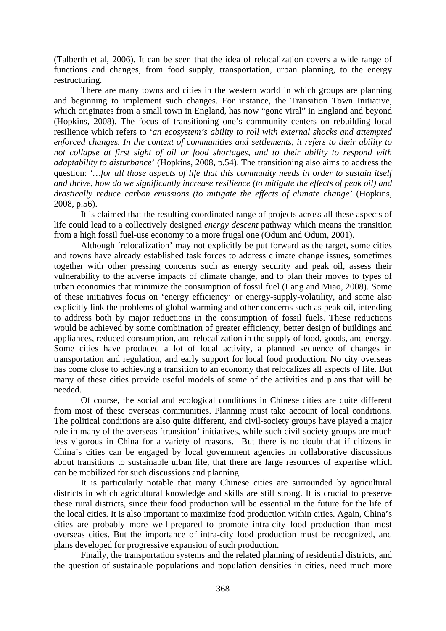(Talberth et al, 2006). It can be seen that the idea of relocalization covers a wide range of functions and changes, from food supply, transportation, urban planning, to the energy restructuring.

There are many towns and cities in the western world in which groups are planning and beginning to implement such changes. For instance, the Transition Town Initiative, which originates from a small town in England, has now "gone viral" in England and beyond (Hopkins, 2008). The focus of transitioning one's community centers on rebuilding local resilience which refers to '*an ecosystem's ability to roll with external shocks and attempted enforced changes. In the context of communities and settlements, it refers to their ability to not collapse at first sight of oil or food shortages, and to their ability to respond with adaptability to disturbance*' (Hopkins, 2008, p.54). The transitioning also aims to address the question: '*…for all those aspects of life that this community needs in order to sustain itself and thrive, how do we significantly increase resilience (to mitigate the effects of peak oil) and drastically reduce carbon emissions (to mitigate the effects of climate change'* (Hopkins, 2008, p.56).

It is claimed that the resulting coordinated range of projects across all these aspects of life could lead to a collectively designed *energy descent* pathway which means the transition from a high fossil fuel-use economy to a more frugal one (Odum and Odum, 2001).

Although 'relocalization' may not explicitly be put forward as the target, some cities and towns have already established task forces to address climate change issues, sometimes together with other pressing concerns such as energy security and peak oil, assess their vulnerability to the adverse impacts of climate change, and to plan their moves to types of urban economies that minimize the consumption of fossil fuel (Lang and Miao, 2008). Some of these initiatives focus on 'energy efficiency' or energy-supply-volatility, and some also explicitly link the problems of global warming and other concerns such as peak-oil, intending to address both by major reductions in the consumption of fossil fuels. These reductions would be achieved by some combination of greater efficiency, better design of buildings and appliances, reduced consumption, and relocalization in the supply of food, goods, and energy. Some cities have produced a lot of local activity, a planned sequence of changes in transportation and regulation, and early support for local food production. No city overseas has come close to achieving a transition to an economy that relocalizes all aspects of life. But many of these cities provide useful models of some of the activities and plans that will be needed.

Of course, the social and ecological conditions in Chinese cities are quite different from most of these overseas communities. Planning must take account of local conditions. The political conditions are also quite different, and civil-society groups have played a major role in many of the overseas 'transition' initiatives, while such civil-society groups are much less vigorous in China for a variety of reasons. But there is no doubt that if citizens in China's cities can be engaged by local government agencies in collaborative discussions about transitions to sustainable urban life, that there are large resources of expertise which can be mobilized for such discussions and planning.

 It is particularly notable that many Chinese cities are surrounded by agricultural districts in which agricultural knowledge and skills are still strong. It is crucial to preserve these rural districts, since their food production will be essential in the future for the life of the local cities. It is also important to maximize food production within cities. Again, China's cities are probably more well-prepared to promote intra-city food production than most overseas cities. But the importance of intra-city food production must be recognized, and plans developed for progressive expansion of such production.

Finally, the transportation systems and the related planning of residential districts, and the question of sustainable populations and population densities in cities, need much more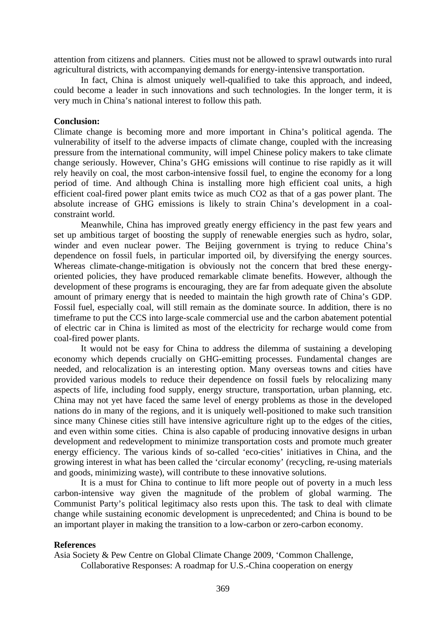attention from citizens and planners. Cities must not be allowed to sprawl outwards into rural agricultural districts, with accompanying demands for energy-intensive transportation.

In fact, China is almost uniquely well-qualified to take this approach, and indeed, could become a leader in such innovations and such technologies. In the longer term, it is very much in China's national interest to follow this path.

## **Conclusion:**

Climate change is becoming more and more important in China's political agenda. The vulnerability of itself to the adverse impacts of climate change, coupled with the increasing pressure from the international community, will impel Chinese policy makers to take climate change seriously. However, China's GHG emissions will continue to rise rapidly as it will rely heavily on coal, the most carbon-intensive fossil fuel, to engine the economy for a long period of time. And although China is installing more high efficient coal units, a high efficient coal-fired power plant emits twice as much CO2 as that of a gas power plant. The absolute increase of GHG emissions is likely to strain China's development in a coalconstraint world.

Meanwhile, China has improved greatly energy efficiency in the past few years and set up ambitious target of boosting the supply of renewable energies such as hydro, solar, winder and even nuclear power. The Beijing government is trying to reduce China's dependence on fossil fuels, in particular imported oil, by diversifying the energy sources. Whereas climate-change-mitigation is obviously not the concern that bred these energyoriented policies, they have produced remarkable climate benefits. However, although the development of these programs is encouraging, they are far from adequate given the absolute amount of primary energy that is needed to maintain the high growth rate of China's GDP. Fossil fuel, especially coal, will still remain as the dominate source. In addition, there is no timeframe to put the CCS into large-scale commercial use and the carbon abatement potential of electric car in China is limited as most of the electricity for recharge would come from coal-fired power plants.

It would not be easy for China to address the dilemma of sustaining a developing economy which depends crucially on GHG-emitting processes. Fundamental changes are needed, and relocalization is an interesting option. Many overseas towns and cities have provided various models to reduce their dependence on fossil fuels by relocalizing many aspects of life, including food supply, energy structure, transportation, urban planning, etc. China may not yet have faced the same level of energy problems as those in the developed nations do in many of the regions, and it is uniquely well-positioned to make such transition since many Chinese cities still have intensive agriculture right up to the edges of the cities, and even within some cities. China is also capable of producing innovative designs in urban development and redevelopment to minimize transportation costs and promote much greater energy efficiency. The various kinds of so-called 'eco-cities' initiatives in China, and the growing interest in what has been called the 'circular economy' (recycling, re-using materials and goods, minimizing waste), will contribute to these innovative solutions.

It is a must for China to continue to lift more people out of poverty in a much less carbon-intensive way given the magnitude of the problem of global warming. The Communist Party's political legitimacy also rests upon this. The task to deal with climate change while sustaining economic development is unprecedented; and China is bound to be an important player in making the transition to a low-carbon or zero-carbon economy.

## **References**

Asia Society & Pew Centre on Global Climate Change 2009, 'Common Challenge, Collaborative Responses: A roadmap for U.S.-China cooperation on energy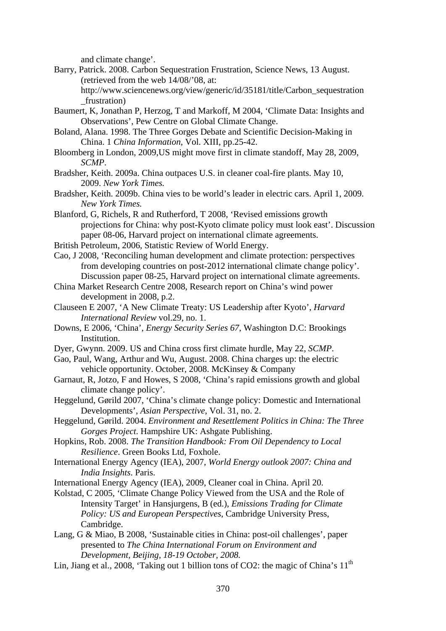and climate change'.

- Barry, Patrick. 2008. Carbon Sequestration Frustration, Science News, 13 August. (retrieved from the web 14/08/'08, at:
	- http://www.sciencenews.org/view/generic/id/35181/title/Carbon\_sequestration \_frustration)
- Baumert, K, Jonathan P, Herzog, T and Markoff, M 2004, 'Climate Data: Insights and Observations', Pew Centre on Global Climate Change.
- Boland, Alana. 1998. The Three Gorges Debate and Scientific Decision-Making in China. 1 *China Information*, Vol. XIII, pp.25-42.
- Bloomberg in London, 2009,US might move first in climate standoff, May 28, 2009, *SCMP*.
- Bradsher, Keith. 2009a. China outpaces U.S. in cleaner coal-fire plants. May 10, 2009. *New York Times.*
- Bradsher, Keith. 2009b. China vies to be world's leader in electric cars. April 1, 2009. *New York Times.*
- Blanford, G, Richels, R and Rutherford, T 2008, 'Revised emissions growth projections for China: why post-Kyoto climate policy must look east'. Discussion paper 08-06, Harvard project on international climate agreements.
- British Petroleum, 2006, Statistic Review of World Energy.
- Cao, J 2008, 'Reconciling human development and climate protection: perspectives from developing countries on post-2012 international climate change policy'. Discussion paper 08-25, Harvard project on international climate agreements.
- China Market Research Centre 2008, Research report on China's wind power development in 2008, p.2.
- Clauseen E 2007, 'A New Climate Treaty: US Leadership after Kyoto', *Harvard International Review* vol.29, no. 1.
- Downs, E 2006, 'China', *Energy Security Series 67*, Washington D.C: Brookings Institution.
- Dyer, Gwynn. 2009. US and China cross first climate hurdle, May 22, *SCMP*.
- Gao, Paul, Wang, Arthur and Wu, August. 2008. China charges up: the electric vehicle opportunity. October, 2008. McKinsey & Company
- Garnaut, R, Jotzo, F and Howes, S 2008, 'China's rapid emissions growth and global climate change policy'.
- Heggelund, Gørild 2007, 'China's climate change policy: Domestic and International Developments', *Asian Perspective*, Vol. 31, no. 2.
- Heggelund, Gørild. 2004. *Environment and Resettlement Politics in China: The Three Gorges Project*. Hampshire UK: Ashgate Publishing.
- Hopkins, Rob. 2008. *The Transition Handbook: From Oil Dependency to Local Resilience*. Green Books Ltd, Foxhole.
- International Energy Agency (IEA), 2007, *World Energy outlook 2007: China and India Insights*. Paris.
- International Energy Agency (IEA), 2009, Cleaner coal in China. April 20.
- Kolstad, C 2005, 'Climate Change Policy Viewed from the USA and the Role of Intensity Target' in Hansjurgens, B (ed.), *Emissions Trading for Climate Policy: US and European Perspectives*, Cambridge University Press, Cambridge.
- Lang, G & Miao, B 2008, 'Sustainable cities in China: post-oil challenges', paper presented to *The China International Forum on Environment and Development, Beijing, 18-19 October, 2008.*
- Lin, Jiang et al., 2008, 'Taking out 1 billion tons of CO2: the magic of China's  $11<sup>th</sup>$